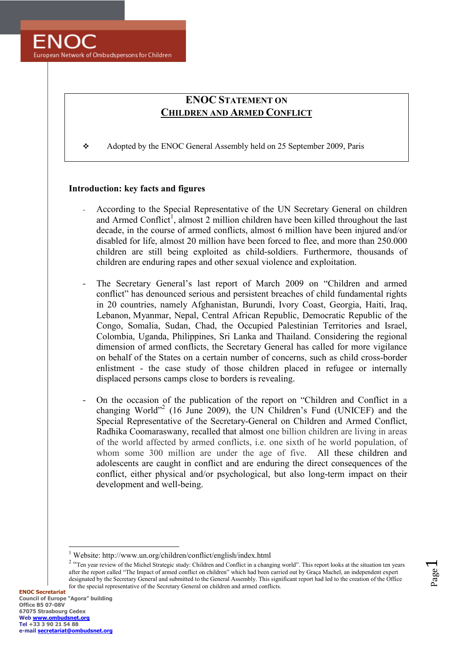

# **ENOC STATEMENT ON CHILDRE AD ARMED COFLICT**

\* Adopted by the ENOC General Assembly held on 25 September 2009, Paris

### **Introduction: key facts and figures**

- According to the Special Representative of the UN Secretary General on children and Armed Conflict<sup>1</sup>, almost  $\overline{2}$  million children have been killed throughout the last decade, in the course of armed conflicts, almost 6 million have been injured and/or disabled for life, almost 20 million have been forced to flee, and more than 250.000 children are still being exploited as child-soldiers. Furthermore, thousands of children are enduring rapes and other sexual violence and exploitation.
- ‐ The Secretary General's last report of March 2009 on "Children and armed conflict" has denounced serious and persistent breaches of child fundamental rights in 20 countries, namely Afghanistan, Burundi, Ivory Coast, Georgia, Haiti, Iraq, Lebanon, Myanmar, Nepal, Central African Republic, Democratic Republic of the Congo, Somalia, Sudan, Chad, the Occupied Palestinian Territories and Israel, Colombia, Uganda, Philippines, Sri Lanka and Thailand. Considering the regional dimension of armed conflicts, the Secretary General has called for more vigilance on behalf of the States on a certain number of concerns, such as child cross-border enlistment - the case study of those children placed in refugee or internally displaced persons camps close to borders is revealing.
- ‐ On the occasion of the publication of the report on "Children and Conflict in a changing World"<sup>2</sup> (16 June 2009), the UN Children's Fund (UNICEF) and the Special Representative of the Secretary-General on Children and Armed Conflict, Radhika Coomaraswany, recalled that almost one billion children are living in areas of the world affected by armed conflicts, i.e. one sixth of he world population, of whom some 300 million are under the age of five. All these children and adolescents are caught in conflict and are enduring the direct consequences of the conflict, either physical and/or psychological, but also long-term impact on their development and well-being.

Page  $\overline{\phantom{0}}$ 

 $\overline{a}$ 

<sup>1</sup> Website: http://www.un.org/children/conflict/english/index.html

<sup>&</sup>lt;sup>2</sup> "Ten year review of the Michel Strategic study: Children and Conflict in a changing world". This report looks at the situation ten years after the report called "The Impact of armed conflict on children" which had been carried out by Graça Machel, an independent expert designated by the Secretary General and submitted to the General Assembly. This significant report had led to the creation of the Office for the special representative of the Secretary General on children and armed conflicts.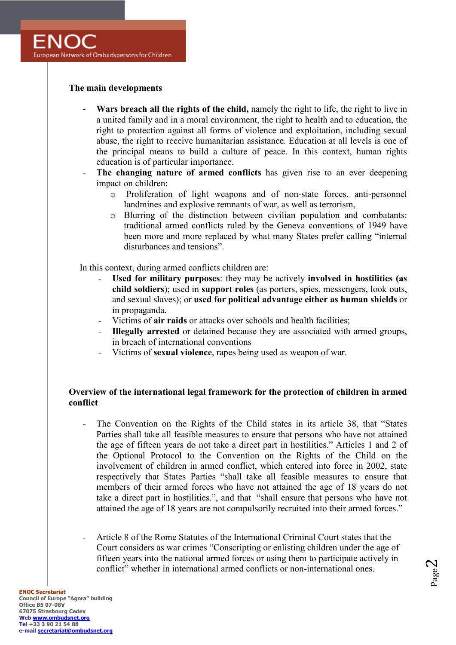## **The main developments**

- ‐ **Wars breach all the rights of the child,** namely the right to life, the right to live in a united family and in a moral environment, the right to health and to education, the right to protection against all forms of violence and exploitation, including sexual abuse, the right to receive humanitarian assistance. Education at all levels is one of the principal means to build a culture of peace. In this context, human rights education is of particular importance.
- **The changing nature of armed conflicts** has given rise to an ever deepening impact on children:
	- o Proliferation of light weapons and of non-state forces, anti-personnel landmines and explosive remnants of war, as well as terrorism,
	- o Blurring of the distinction between civilian population and combatants: traditional armed conflicts ruled by the Geneva conventions of 1949 have been more and more replaced by what many States prefer calling "internal disturbances and tensions".

In this context, during armed conflicts children are:

- **Used for military purposes**: they may be actively **involved in hostilities (as child soldiers**); used in **support roles** (as porters, spies, messengers, look outs, and sexual slaves); or **used for political advantage either as human shields** or in propaganda.
- Victims of **air raids** or attacks over schools and health facilities;
- **Illegally arrested** or detained because they are associated with armed groups, in breach of international conventions
- Victims of **sexual violence**, rapes being used as weapon of war.

# **Overview of the international legal framework for the protection of children in armed conflict**

- ‐ The Convention on the Rights of the Child states in its article 38, that "States Parties shall take all feasible measures to ensure that persons who have not attained the age of fifteen years do not take a direct part in hostilities." Articles 1 and 2 of the Optional Protocol to the Convention on the Rights of the Child on the involvement of children in armed conflict, which entered into force in 2002, state respectively that States Parties "shall take all feasible measures to ensure that members of their armed forces who have not attained the age of 18 years do not take a direct part in hostilities.", and that "shall ensure that persons who have not attained the age of 18 years are not compulsorily recruited into their armed forces."
- Article 8 of the Rome Statutes of the International Criminal Court states that the Court considers as war crimes "Conscripting or enlisting children under the age of fifteen years into the national armed forces or using them to participate actively in conflict" whether in international armed conflicts or non-international ones.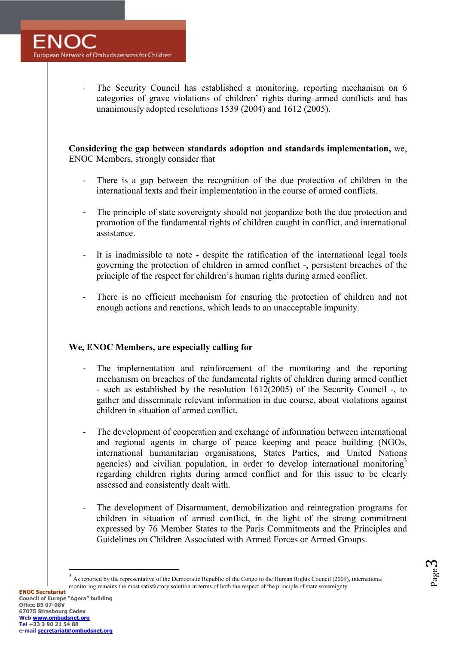The Security Council has established a monitoring, reporting mechanism on 6 categories of grave violations of children' rights during armed conflicts and has unanimously adopted resolutions 1539 (2004) and 1612 (2005).

**Considering the gap between standards adoption and standards implementation,** we, ENOC Members, strongly consider that

- There is a gap between the recognition of the due protection of children in the international texts and their implementation in the course of armed conflicts.
- ‐ The principle of state sovereignty should not jeopardize both the due protection and promotion of the fundamental rights of children caught in conflict, and international assistance.
- ‐ It is inadmissible to note despite the ratification of the international legal tools governing the protection of children in armed conflict -, persistent breaches of the principle of the respect for children's human rights during armed conflict.
- ‐ There is no efficient mechanism for ensuring the protection of children and not enough actions and reactions, which leads to an unacceptable impunity.

### We, ENOC Members, are especially calling for

- The implementation and reinforcement of the monitoring and the reporting mechanism on breaches of the fundamental rights of children during armed conflict - such as established by the resolution 1612(2005) of the Security Council -, to gather and disseminate relevant information in due course, about violations against children in situation of armed conflict.
- ‐ The development of cooperation and exchange of information between international and regional agents in charge of peace keeping and peace building (NGOs, international humanitarian organisations, States Parties, and United Nations agencies) and civilian population, in order to develop international monitoring<sup>3</sup> regarding children rights during armed conflict and for this issue to be clearly assessed and consistently dealt with.
- ‐ The development of Disarmament, demobilization and reintegration programs for children in situation of armed conflict, in the light of the strong commitment expressed by 76 Member States to the Paris Commitments and the Principles and Guidelines on Children Associated with Armed Forces or Armed Groups.

As reported by the representative of the Democratic Republic of the Congo to the Human Rights Council (2009), international

monitoring remains the most satisfactory solution in terms of both the respect of the principle of state sovereignty.

 $\overline{a}$ 3

Page  $\infty$